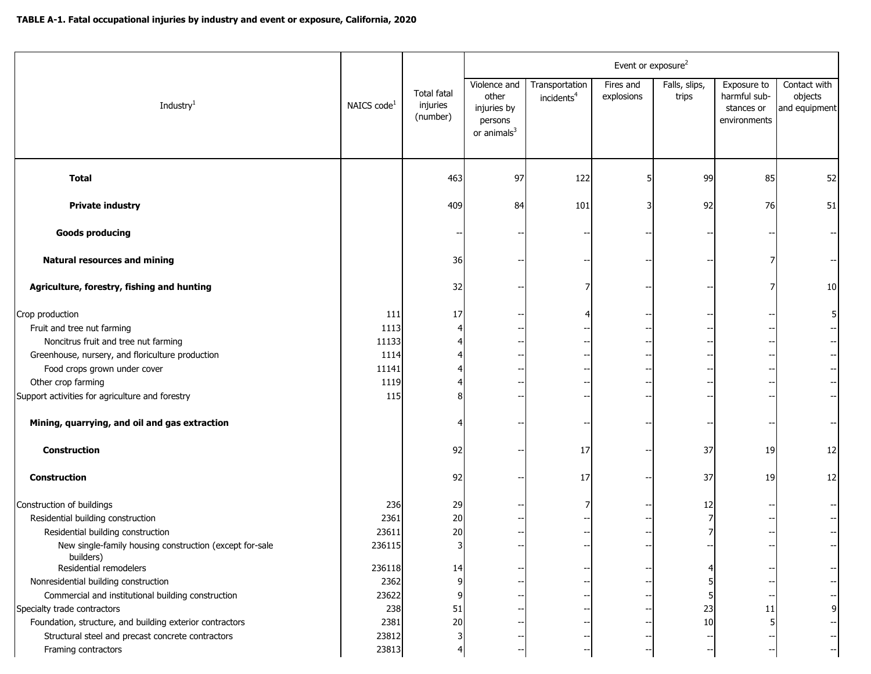|                                                                                                                                                                                                 |                                               |                                            | Event or exposure <sup>2</sup>                                             |                                          |                         |                        |                                                           |                                          |
|-------------------------------------------------------------------------------------------------------------------------------------------------------------------------------------------------|-----------------------------------------------|--------------------------------------------|----------------------------------------------------------------------------|------------------------------------------|-------------------------|------------------------|-----------------------------------------------------------|------------------------------------------|
| Industry <sup>1</sup>                                                                                                                                                                           | NAICS code <sup>1</sup>                       | <b>Total fatal</b><br>injuries<br>(number) | Violence and<br>other<br>injuries by<br>persons<br>or animals <sup>3</sup> | Transportation<br>incidents <sup>4</sup> | Fires and<br>explosions | Falls, slips,<br>trips | Exposure to<br>harmful sub-<br>stances or<br>environments | Contact with<br>objects<br>and equipment |
| <b>Total</b>                                                                                                                                                                                    |                                               | 463                                        | 97                                                                         | 122                                      |                         | 99                     | 85                                                        | 52                                       |
| <b>Private industry</b>                                                                                                                                                                         |                                               | 409                                        | 84                                                                         | 101                                      |                         | 92                     | 76                                                        | 51                                       |
| <b>Goods producing</b>                                                                                                                                                                          |                                               |                                            |                                                                            |                                          |                         |                        |                                                           |                                          |
| <b>Natural resources and mining</b>                                                                                                                                                             |                                               | 36                                         |                                                                            |                                          |                         |                        |                                                           |                                          |
| Agriculture, forestry, fishing and hunting                                                                                                                                                      |                                               | 32                                         |                                                                            |                                          |                         |                        |                                                           | 10                                       |
| Crop production<br>Fruit and tree nut farming<br>Noncitrus fruit and tree nut farming<br>Greenhouse, nursery, and floriculture production<br>Food crops grown under cover<br>Other crop farming | 111<br>1113<br>11133<br>1114<br>11141<br>1119 | 17                                         |                                                                            |                                          |                         |                        |                                                           |                                          |
| Support activities for agriculture and forestry                                                                                                                                                 | 115                                           |                                            |                                                                            |                                          |                         |                        |                                                           |                                          |
| Mining, quarrying, and oil and gas extraction                                                                                                                                                   |                                               |                                            |                                                                            |                                          |                         |                        |                                                           |                                          |
| <b>Construction</b>                                                                                                                                                                             |                                               | 92                                         |                                                                            | 17                                       |                         | 37                     | 19                                                        | 12                                       |
| Construction                                                                                                                                                                                    |                                               | 92                                         |                                                                            | 17                                       |                         | 37                     | 19                                                        | 12                                       |
| Construction of buildings<br>Residential building construction<br>Residential building construction                                                                                             | 236<br>2361<br>23611                          | 29<br>20<br>20                             |                                                                            |                                          |                         | 12                     |                                                           |                                          |
| New single-family housing construction (except for-sale<br>builders)<br>Residential remodelers                                                                                                  | 236115<br>236118                              | 14                                         |                                                                            |                                          |                         |                        |                                                           |                                          |
| Nonresidential building construction                                                                                                                                                            | 2362                                          |                                            |                                                                            |                                          |                         |                        |                                                           |                                          |
| Commercial and institutional building construction                                                                                                                                              | 23622                                         |                                            |                                                                            |                                          |                         |                        |                                                           |                                          |
| Specialty trade contractors                                                                                                                                                                     | 238                                           | 51                                         |                                                                            |                                          |                         | 23                     | 11                                                        |                                          |
| Foundation, structure, and building exterior contractors                                                                                                                                        | 2381                                          | 20                                         |                                                                            |                                          |                         | 10                     |                                                           |                                          |
| Structural steel and precast concrete contractors                                                                                                                                               | 23812                                         |                                            |                                                                            |                                          |                         |                        |                                                           |                                          |
| Framing contractors                                                                                                                                                                             | 23813                                         |                                            |                                                                            |                                          |                         |                        |                                                           |                                          |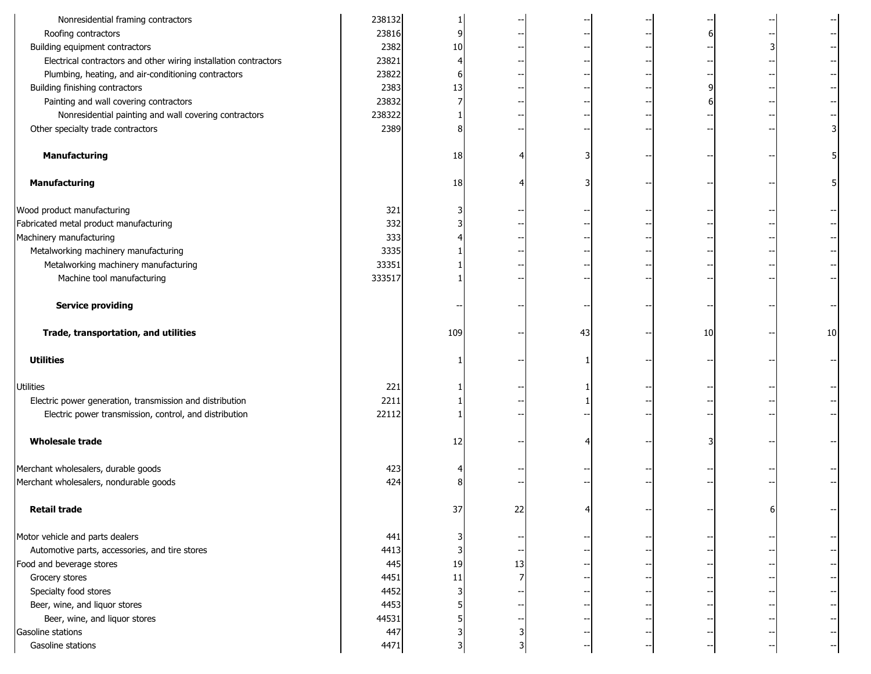| Nonresidential framing contractors                               | 238132 |     |    |    |    |    |
|------------------------------------------------------------------|--------|-----|----|----|----|----|
| Roofing contractors                                              | 23816  | q   |    |    |    |    |
| Building equipment contractors                                   | 2382   | 10  |    |    |    |    |
| Electrical contractors and other wiring installation contractors | 23821  |     |    |    |    |    |
| Plumbing, heating, and air-conditioning contractors              | 23822  |     |    |    |    |    |
| Building finishing contractors                                   | 2383   | 13  |    |    |    |    |
| Painting and wall covering contractors                           | 23832  |     |    |    |    |    |
| Nonresidential painting and wall covering contractors            | 238322 |     |    |    |    |    |
| Other specialty trade contractors                                | 2389   |     |    |    |    |    |
| <b>Manufacturing</b>                                             |        | 18  |    |    |    |    |
| Manufacturing                                                    |        | 18  |    |    |    |    |
| Wood product manufacturing                                       | 321    |     |    |    |    |    |
| Fabricated metal product manufacturing                           | 332    |     |    |    |    |    |
| Machinery manufacturing                                          | 333    |     |    |    |    |    |
| Metalworking machinery manufacturing                             | 3335   |     |    |    |    |    |
| Metalworking machinery manufacturing                             | 33351  |     |    |    |    |    |
| Machine tool manufacturing                                       | 333517 |     |    |    |    |    |
| <b>Service providing</b>                                         |        |     |    |    |    |    |
| Trade, transportation, and utilities                             |        | 109 |    | 43 | 10 | 10 |
| <b>Utilities</b>                                                 |        |     |    |    |    |    |
| Utilities                                                        | 221    |     |    |    |    |    |
| Electric power generation, transmission and distribution         | 2211   |     |    |    |    |    |
| Electric power transmission, control, and distribution           | 22112  |     |    |    |    |    |
| <b>Wholesale trade</b>                                           |        | 12  |    |    |    |    |
| Merchant wholesalers, durable goods                              | 423    |     |    |    |    |    |
| Merchant wholesalers, nondurable goods                           | 424    |     |    |    |    |    |
| <b>Retail trade</b>                                              |        | 37  | 22 |    |    |    |
| Motor vehicle and parts dealers                                  | 441    |     |    |    |    |    |
| Automotive parts, accessories, and tire stores                   | 4413   |     |    |    |    |    |
| Food and beverage stores                                         | 445    | 19  | 13 |    |    |    |
| Grocery stores                                                   | 4451   | 11  |    |    |    |    |
| Specialty food stores                                            | 4452   |     |    |    |    |    |
| Beer, wine, and liquor stores                                    | 4453   |     |    |    |    |    |
| Beer, wine, and liquor stores                                    | 44531  |     |    |    |    |    |
| Gasoline stations                                                | 447    |     |    |    |    |    |
| Gasoline stations                                                | 4471   |     |    |    |    |    |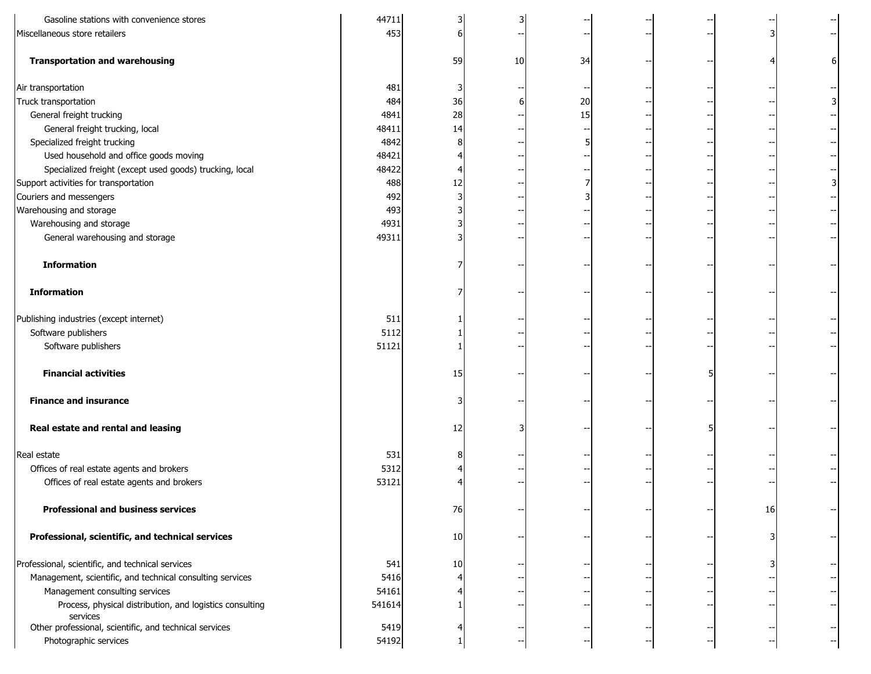| Gasoline stations with convenience stores                            | 44711  |    |    |    |  |    |  |
|----------------------------------------------------------------------|--------|----|----|----|--|----|--|
| Miscellaneous store retailers                                        | 453    |    |    |    |  |    |  |
| <b>Transportation and warehousing</b>                                |        | 59 | 10 | 34 |  |    |  |
| Air transportation                                                   | 481    |    |    |    |  |    |  |
| Truck transportation                                                 | 484    | 36 |    | 20 |  |    |  |
| General freight trucking                                             | 4841   | 28 |    | 15 |  |    |  |
| General freight trucking, local                                      | 48411  | 14 |    |    |  |    |  |
| Specialized freight trucking                                         | 4842   |    |    |    |  |    |  |
| Used household and office goods moving                               | 48421  |    |    |    |  |    |  |
| Specialized freight (except used goods) trucking, local              | 48422  |    |    |    |  |    |  |
| Support activities for transportation                                | 488    | 12 |    |    |  |    |  |
| Couriers and messengers                                              | 492    |    |    |    |  |    |  |
| Warehousing and storage                                              | 493    |    |    |    |  |    |  |
| Warehousing and storage                                              | 4931   |    |    |    |  |    |  |
| General warehousing and storage                                      | 49311  |    |    |    |  |    |  |
| <b>Information</b>                                                   |        |    |    |    |  |    |  |
| <b>Information</b>                                                   |        |    |    |    |  |    |  |
| Publishing industries (except internet)                              | 511    |    |    |    |  |    |  |
| Software publishers                                                  | 5112   |    |    |    |  |    |  |
| Software publishers                                                  | 51121  |    |    |    |  |    |  |
| <b>Financial activities</b>                                          |        | 15 |    |    |  |    |  |
| <b>Finance and insurance</b>                                         |        |    |    |    |  |    |  |
| Real estate and rental and leasing                                   |        | 12 |    |    |  |    |  |
| Real estate                                                          | 531    |    |    |    |  |    |  |
| Offices of real estate agents and brokers                            | 5312   |    |    |    |  |    |  |
| Offices of real estate agents and brokers                            | 53121  |    |    |    |  |    |  |
| <b>Professional and business services</b>                            |        | 76 |    |    |  | 16 |  |
| Professional, scientific, and technical services                     |        | 10 |    |    |  |    |  |
| Professional, scientific, and technical services                     | 541    | 10 |    |    |  |    |  |
| Management, scientific, and technical consulting services            | 5416   |    |    |    |  |    |  |
| Management consulting services                                       | 54161  |    |    |    |  |    |  |
| Process, physical distribution, and logistics consulting<br>services | 541614 |    |    |    |  |    |  |
| Other professional, scientific, and technical services               | 5419   |    |    |    |  |    |  |
| Photographic services                                                | 54192  |    |    |    |  |    |  |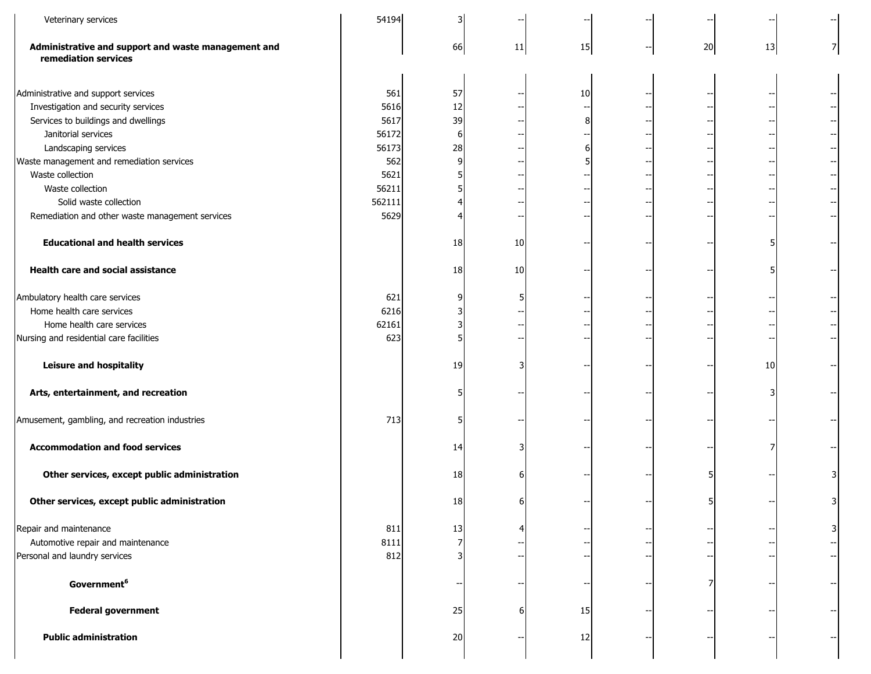| Veterinary services                                                                                                                                                                                                                                                                                                                                                          | 54194                                                                           |                                             |                 |    |    |    |  |
|------------------------------------------------------------------------------------------------------------------------------------------------------------------------------------------------------------------------------------------------------------------------------------------------------------------------------------------------------------------------------|---------------------------------------------------------------------------------|---------------------------------------------|-----------------|----|----|----|--|
| Administrative and support and waste management and<br>remediation services                                                                                                                                                                                                                                                                                                  |                                                                                 | 66                                          | 11              | 15 | 20 | 13 |  |
| Administrative and support services<br>Investigation and security services<br>Services to buildings and dwellings<br>Janitorial services<br>Landscaping services<br>Waste management and remediation services<br>Waste collection<br>Waste collection<br>Solid waste collection<br>Remediation and other waste management services<br><b>Educational and health services</b> | 561<br>5616<br>5617<br>56172<br>56173<br>562<br>5621<br>56211<br>562111<br>5629 | 57<br>12<br>39<br>$6 \mid$<br>28<br>9<br>18 | 10              | 10 |    |    |  |
| <b>Health care and social assistance</b>                                                                                                                                                                                                                                                                                                                                     |                                                                                 | 18                                          | 10 <sub>1</sub> |    |    |    |  |
| Ambulatory health care services<br>Home health care services<br>Home health care services<br>Nursing and residential care facilities<br><b>Leisure and hospitality</b>                                                                                                                                                                                                       | 621<br>6216<br>62161<br>623                                                     | 19                                          |                 |    |    | 10 |  |
| Arts, entertainment, and recreation<br>Amusement, gambling, and recreation industries                                                                                                                                                                                                                                                                                        | 713                                                                             |                                             |                 |    |    |    |  |
| <b>Accommodation and food services</b>                                                                                                                                                                                                                                                                                                                                       |                                                                                 | 14                                          |                 |    |    |    |  |
| Other services, except public administration<br>Other services, except public administration                                                                                                                                                                                                                                                                                 |                                                                                 | 18<br>18                                    |                 |    |    |    |  |
| Repair and maintenance<br>Automotive repair and maintenance<br>Personal and laundry services                                                                                                                                                                                                                                                                                 | 811<br>8111<br>812                                                              | 13                                          |                 |    |    |    |  |
| Government <sup>6</sup>                                                                                                                                                                                                                                                                                                                                                      |                                                                                 |                                             |                 |    |    |    |  |
| <b>Federal government</b>                                                                                                                                                                                                                                                                                                                                                    |                                                                                 | 25                                          |                 | 15 |    |    |  |
| <b>Public administration</b>                                                                                                                                                                                                                                                                                                                                                 |                                                                                 | 20                                          |                 | 12 |    |    |  |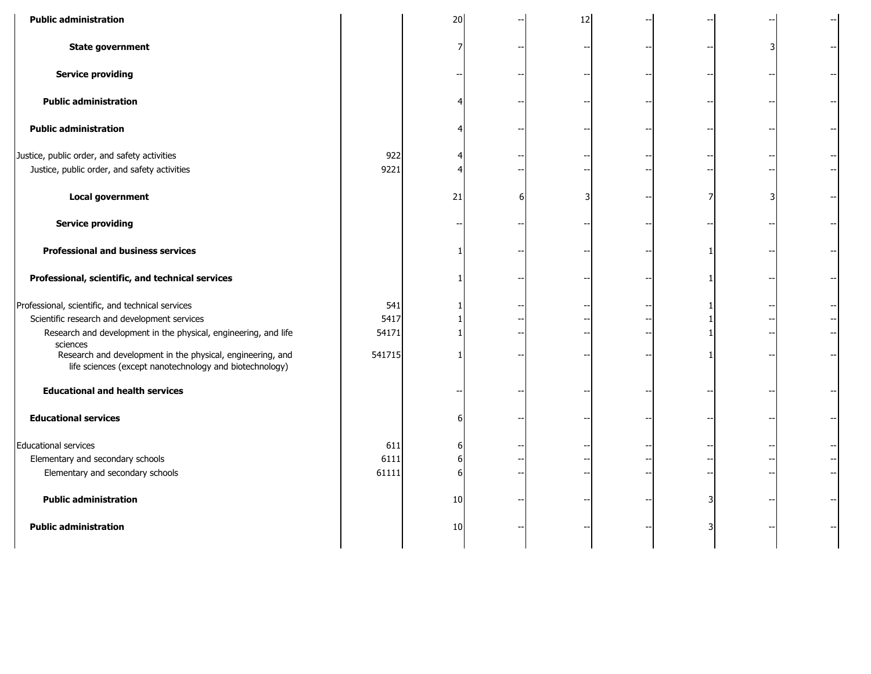| <b>Public administration</b>                                                                                                                                        |                      | 20          | 12 |  |   |  |
|---------------------------------------------------------------------------------------------------------------------------------------------------------------------|----------------------|-------------|----|--|---|--|
| <b>State government</b>                                                                                                                                             |                      |             |    |  | 3 |  |
| <b>Service providing</b>                                                                                                                                            |                      |             |    |  |   |  |
| <b>Public administration</b>                                                                                                                                        |                      |             |    |  |   |  |
| <b>Public administration</b>                                                                                                                                        |                      |             |    |  |   |  |
| Justice, public order, and safety activities<br>Justice, public order, and safety activities                                                                        | 922<br>9221          |             |    |  |   |  |
| <b>Local government</b>                                                                                                                                             |                      | 21          |    |  |   |  |
| <b>Service providing</b>                                                                                                                                            |                      |             |    |  |   |  |
| <b>Professional and business services</b>                                                                                                                           |                      |             |    |  |   |  |
| Professional, scientific, and technical services                                                                                                                    |                      |             |    |  |   |  |
| Professional, scientific, and technical services<br>Scientific research and development services<br>Research and development in the physical, engineering, and life | 541<br>5417<br>54171 |             |    |  |   |  |
| sciences<br>Research and development in the physical, engineering, and<br>life sciences (except nanotechnology and biotechnology)                                   | 541715               |             |    |  |   |  |
| <b>Educational and health services</b>                                                                                                                              |                      |             |    |  |   |  |
| <b>Educational services</b>                                                                                                                                         |                      | 6           |    |  |   |  |
| <b>Educational services</b><br>Elementary and secondary schools<br>Elementary and secondary schools                                                                 | 611<br>6111<br>61111 | 6<br>ы<br>6 |    |  |   |  |
| <b>Public administration</b>                                                                                                                                        |                      | 10          |    |  |   |  |
| <b>Public administration</b>                                                                                                                                        |                      | 10          |    |  |   |  |